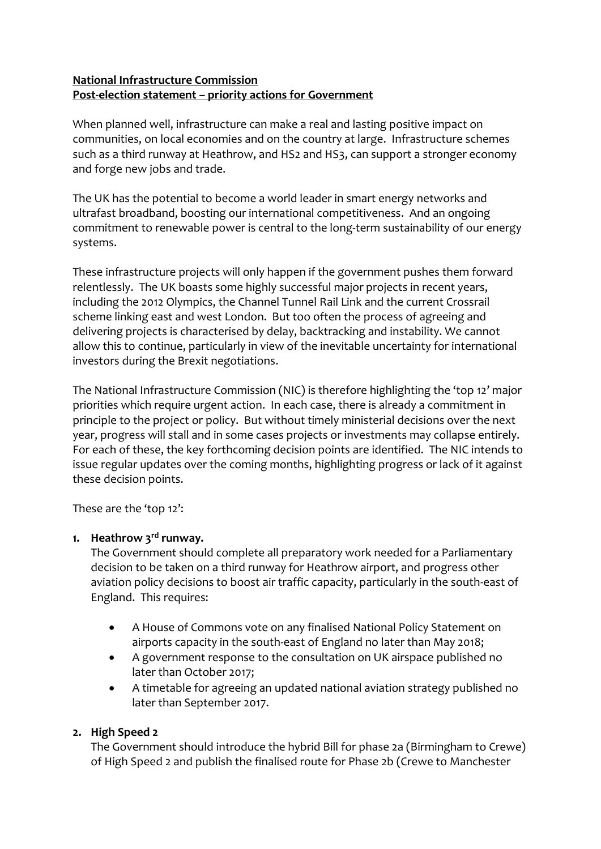## **National Infrastructure Commission Post-election statement – priority actions for Government**

When planned well, infrastructure can make a real and lasting positive impact on communities, on local economies and on the country at large. Infrastructure schemes such as a third runway at Heathrow, and HS2 and HS3, can support a stronger economy and forge new jobs and trade.

The UK has the potential to become a world leader in smart energy networks and ultrafast broadband, boosting our international competitiveness. And an ongoing commitment to renewable power is central to the long-term sustainability of our energy systems.

These infrastructure projects will only happen if the government pushes them forward relentlessly. The UK boasts some highly successful major projects in recent years, including the 2012 Olympics, the Channel Tunnel Rail Link and the current Crossrail scheme linking east and west London. But too often the process of agreeing and delivering projects is characterised by delay, backtracking and instability. We cannot allow this to continue, particularly in view of the inevitable uncertainty for international investors during the Brexit negotiations.

The National Infrastructure Commission (NIC) is therefore highlighting the 'top 12' major priorities which require urgent action. In each case, there is already a commitment in principle to the project or policy. But without timely ministerial decisions over the next year, progress will stall and in some cases projects or investments may collapse entirely. For each of these, the key forthcoming decision points are identified. The NIC intends to issue regular updates over the coming months, highlighting progress or lack of it against these decision points.

These are the 'top 12':

# **1. Heathrow 3rd runway.**

The Government should complete all preparatory work needed for a Parliamentary decision to be taken on a third runway for Heathrow airport, and progress other aviation policy decisions to boost air traffic capacity, particularly in the south-east of England. This requires:

- A House of Commons vote on any finalised National Policy Statement on airports capacity in the south-east of England no later than May 2018;
- A government response to the consultation on UK airspace published no later than October 2017;
- A timetable for agreeing an updated national aviation strategy published no later than September 2017.

# **2. High Speed 2**

The Government should introduce the hybrid Bill for phase 2a (Birmingham to Crewe) of High Speed 2 and publish the finalised route for Phase 2b (Crewe to Manchester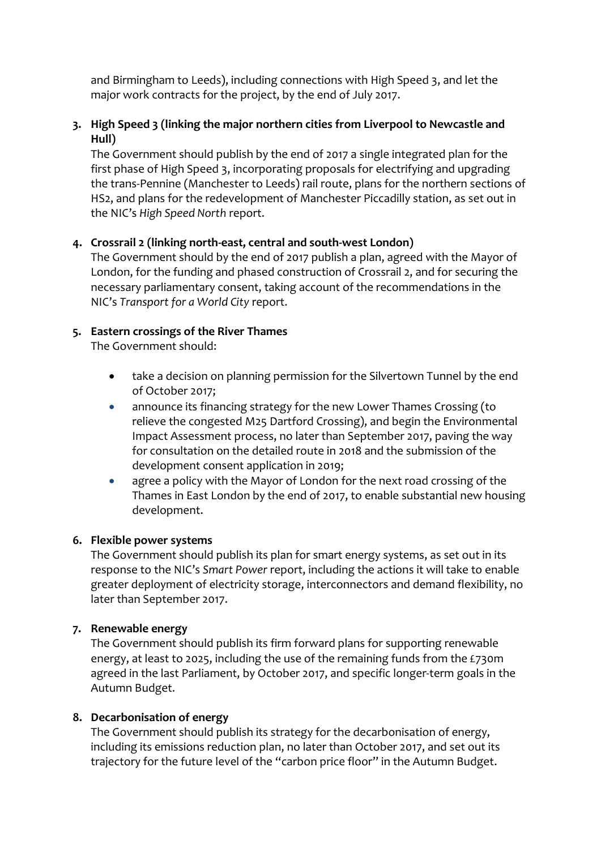and Birmingham to Leeds), including connections with High Speed 3, and let the major work contracts for the project, by the end of July 2017.

## **3. High Speed 3 (linking the major northern cities from Liverpool to Newcastle and Hull)**

The Government should publish by the end of 2017 a single integrated plan for the first phase of High Speed 3, incorporating proposals for electrifying and upgrading the trans-Pennine (Manchester to Leeds) rail route, plans for the northern sections of HS2, and plans for the redevelopment of Manchester Piccadilly station, as set out in the NIC's *High Speed North* report.

### **4. Crossrail 2 (linking north-east, central and south-west London)**

The Government should by the end of 2017 publish a plan, agreed with the Mayor of London, for the funding and phased construction of Crossrail 2, and for securing the necessary parliamentary consent, taking account of the recommendations in the NIC's *Transport for a World City* report.

### **5. Eastern crossings of the River Thames**

The Government should:

- take a decision on planning permission for the Silvertown Tunnel by the end of October 2017;
- announce its financing strategy for the new Lower Thames Crossing (to relieve the congested M25 Dartford Crossing), and begin the Environmental Impact Assessment process, no later than September 2017, paving the way for consultation on the detailed route in 2018 and the submission of the development consent application in 2019;
- agree a policy with the Mayor of London for the next road crossing of the Thames in East London by the end of 2017, to enable substantial new housing development.

#### **6. Flexible power systems**

The Government should publish its plan for smart energy systems, as set out in its response to the NIC's *Smart Power* report, including the actions it will take to enable greater deployment of electricity storage, interconnectors and demand flexibility, no later than September 2017.

#### **7. Renewable energy**

The Government should publish its firm forward plans for supporting renewable energy, at least to 2025, including the use of the remaining funds from the £730m agreed in the last Parliament, by October 2017, and specific longer-term goals in the Autumn Budget.

#### **8. Decarbonisation of energy**

The Government should publish its strategy for the decarbonisation of energy, including its emissions reduction plan, no later than October 2017, and set out its trajectory for the future level of the "carbon price floor" in the Autumn Budget.